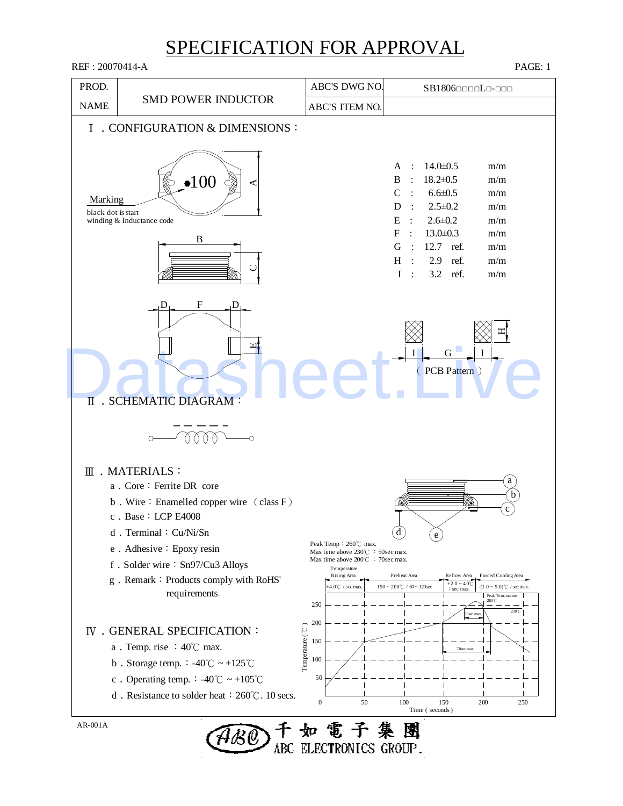REF : 20070414-A PAGE: 1 PROD. ABC'S DWG NO. SB1806□□□□L□-□□□ SMD POWER INDUCTOR NAME ABC'S ITEM NO. Ⅰ﹒CONFIGURATION & DIMENSIONS: A :  $14.0 \pm 0.5$ m/m B : 18.2±0.5 m/m 100  $C : 6.6 \pm 0.5$ m/m Marking  $D : 2.5 \pm 0.2$ m/m black dot is start winding & Inductance code E :  $2.6 \pm 0.2$ m/m  $F : 13.0 \pm 0.3$ m/m  $\overline{\mathbf{B}}$ G : 12.7 ref. m/m H : 2.9 ref. m/m  $\cup$ I : 3.2 ref. m/m  $D_{\perp}$  F  $_D$  $\bm{\Xi}$ TRESHEMATIC DIAGRAM:  $\Box$  $G$ I I ( PCB Pattern ) Ⅱ﹒SCHEMATIC DIAGRAM:  $=$   $=$   $=$   $=$ MM  $\overline{\phantom{0}}$  $\circ$ Ⅲ﹒MATERIALS: a a. Core: Ferrite DR core b b. Wire: Enamelled copper wire (class F) c c. Base: LCP E4008 d. Terminal: Cu/Ni/Sn d e Peak Temp:260℃ max. e. Adhesive: Epoxy resin Max time above 230℃ : 50sec max. Max time above 200℃ : 70sec max. f. Solder wire: Sn97/Cu3 Alloys Temperature Rising Area Preheat Area Reflow Area Forced Cooling Area g﹒Remark:Products comply with RoHS'  $+2.0 - 4.0^{\circ}$ .<br>+4.0℃ / sec ma  $150 \sim 200^{\circ}$ C /  $60 \sim 120$ sec -(1.0 ~ 5.0)℃ / sec max. / sec max. requirements Peak Temperature: 250 260℃ 230℃ 50sec max. 200 Temperature ( $\mathcal{C}$ ) IV . GENERAL SPECIFICATION: 150 a﹒Temp. rise :40℃ max. 70sec max. 100 b. Storage temp.  $-40^{\circ}$ C ~  $+125^{\circ}$ C c. Operating temp.:  $-40^{\circ}$ C ~  $+105^{\circ}$ C 50 d﹒Resistance to solder heat:260℃. 10 secs. 0 50 100 150 200 250 Time ( seconds ) AR-001A 如電子集團

ABC ELECTRONICS GROUP.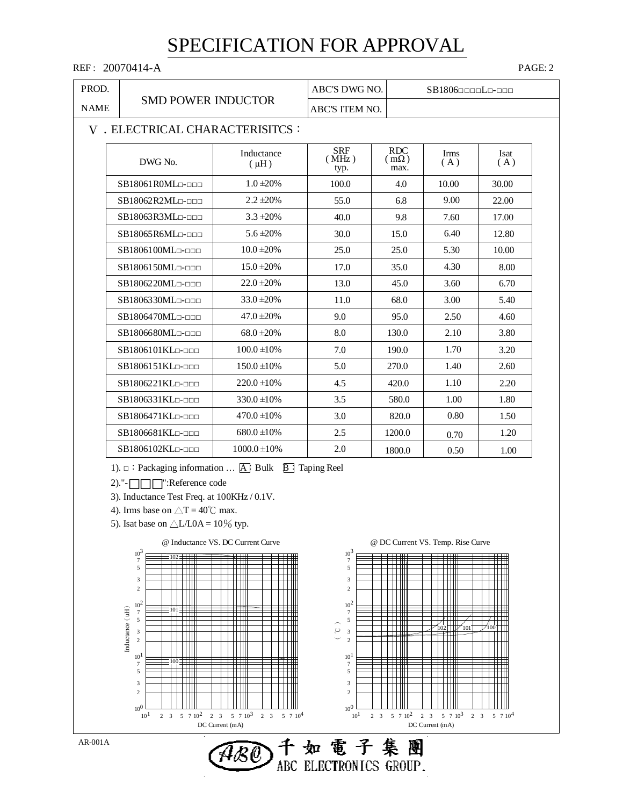#### REF: 20070414-A PAGE: 2

| PROD.       |                                | ABC'S DWG NO.           |                             | $SB1806$ nnnn $L$ n-nnn           |             |             |  |  |  |  |
|-------------|--------------------------------|-------------------------|-----------------------------|-----------------------------------|-------------|-------------|--|--|--|--|
| <b>NAME</b> | <b>SMD POWER INDUCTOR</b>      |                         | ABC'S ITEM NO.              |                                   |             |             |  |  |  |  |
|             | V. ELECTRICAL CHARACTERISITCS: |                         |                             |                                   |             |             |  |  |  |  |
|             | DWG No.                        | Inductance<br>$(\mu H)$ | <b>SRF</b><br>(MHz)<br>typ. | <b>RDC</b><br>$m\Omega$ )<br>max. | Irms<br>(A) | Isat<br>(A) |  |  |  |  |
|             | $SB18061$ ROML $\neg\neg\neg$  | $1.0 \pm 20\%$          | 100.0                       | 4.0                               | 10.00       | 30.00       |  |  |  |  |
|             | SB18062R2ML                    | $2.2 \pm 20\%$          | 55.0                        | 6.8                               | 9.00        | 22.00       |  |  |  |  |
|             | SB18063R3ML                    | $3.3 \pm 20\%$          | 40.0                        | 9.8                               | 7.60        | 17.00       |  |  |  |  |
|             | SB18065R6ML                    | $5.6 \pm 20\%$          | 30.0                        | 15.0                              | 6.40        | 12.80       |  |  |  |  |
|             | SB1806100ML                    | $10.0 \pm 20\%$         | 25.0                        | 25.0                              | 5.30        | 10.00       |  |  |  |  |
|             | SB1806150ML                    | $15.0 \pm 20\%$         | 17.0                        | 35.0                              | 4.30        | 8.00        |  |  |  |  |
|             | SB1806220MLn-nnn               | $22.0 \pm 20\%$         | 13.0                        | 45.0                              | 3.60        | 6.70        |  |  |  |  |
|             | SB1806330ML <sub>D-DDD</sub>   | $33.0 \pm 20\%$         | 11.0                        | 68.0                              | 3.00        | 5.40        |  |  |  |  |
|             | SB1806470ML <sub>D-DDD</sub>   | $47.0 \pm 20\%$         | 9.0                         | 95.0                              | 2.50        | 4.60        |  |  |  |  |
|             | SB1806680MLn-nnn               | $68.0 \pm 20\%$         | 8.0                         | 130.0                             | 2.10        | 3.80        |  |  |  |  |
|             | SB1806101KL <sub>D-DDD</sub>   | $100.0 \pm 10\%$        | 7.0                         | 190.0                             | 1.70        | 3.20        |  |  |  |  |
|             | SB1806151KL <sub>D</sub> -DDD  | $150.0 \pm 10\%$        | 5.0                         | 270.0                             | 1.40        | 2.60        |  |  |  |  |
|             | SB1806221KL <sub>D</sub> -DDD  | $220.0 \pm 10\%$        | 4.5                         | 420.0                             | 1.10        | 2.20        |  |  |  |  |
|             | SB1806331KL <sub>D</sub> -DDD  | $330.0 \pm 10\%$        | 3.5                         | 580.0                             | 1.00        | 1.80        |  |  |  |  |
|             | SB1806471KL                    | $470.0 \pm 10\%$        | 3.0                         | 820.0                             | 0.80        | 1.50        |  |  |  |  |
|             | SB1806681KLn-nnn               | $680.0 \pm 10\%$        | 2.5                         | 1200.0                            | 0.70        | 1.20        |  |  |  |  |
|             | SB1806102KL <sub>0</sub> -000  | $1000.0 \pm 10\%$       | 2.0                         | 1800.0                            | 0.50        | 1.00        |  |  |  |  |

1).  $□$ : Packaging information ...  $[A]$ : Bulk  $[B]$ : Taping Reel

 $2)$ ."- $\Box \Box$ ":Reference code

3). Inductance Test Freq. at 100KHz / 0.1V.

4). Irms base on  $\triangle T = 40^{\circ}$ C max.

5). Isat base on  $\triangle L/L0A = 10\%$  typ.



 $\widehat {\cal A}{\cal B} \bar {\cal O}$ 

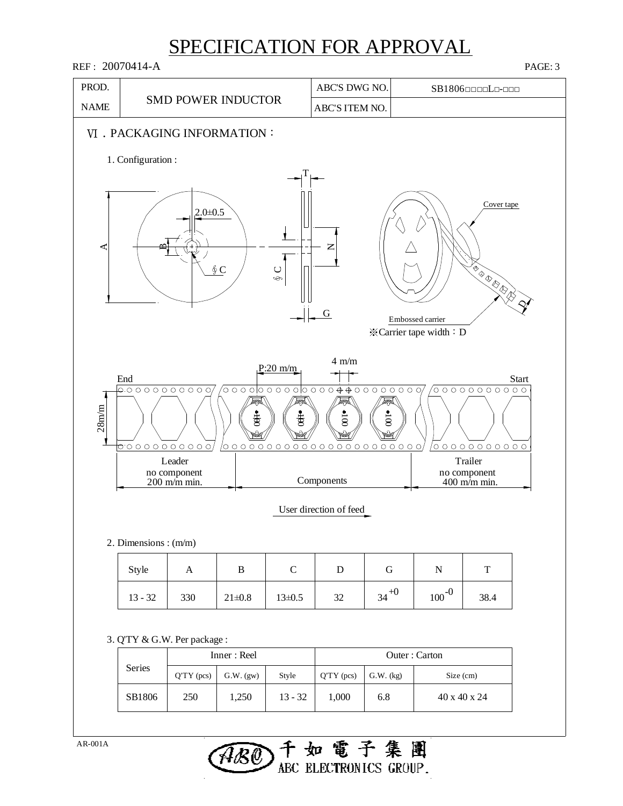

ABC ELECTRONICS GROUP.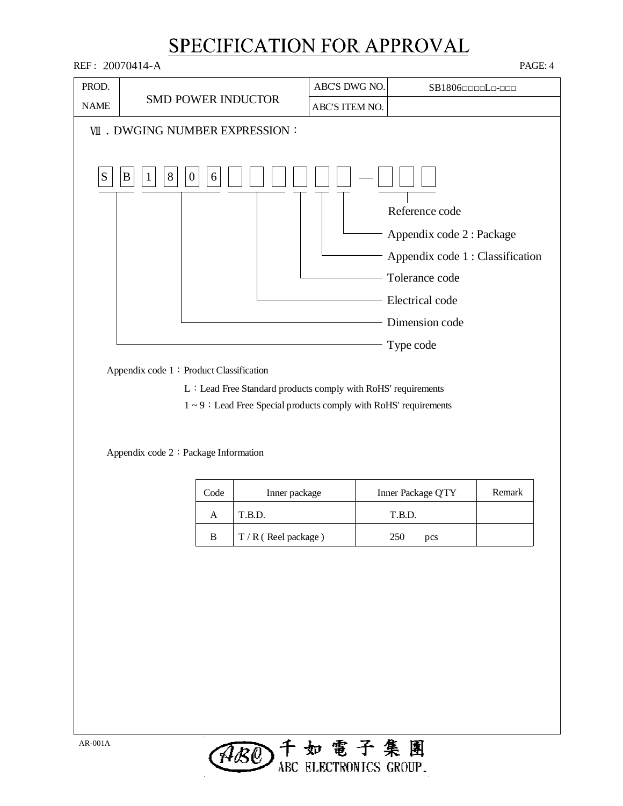SMD POWER INDUCTOR **WI. DWGING NUMBER EXPRESSION:** Appendix code 1: Product Classification Appendix code 2: Package Information  $S \mid B \mid 1$ REF : 20070414-A PAGE: 4 NAME PROD. Code Inner package Inner Package Q'TY Remark T.B.D.  $\mathbf{B}$   $\begin{bmatrix} T/R \end{bmatrix}$  Reel package ) A 250 T.B.D. pcs SB1806□□□□L□-□□□ Appendix code 1 : Classification Appendix code 2 : Package L: Lead Free Standard products comply with RoHS' requirements  $1 \sim 9$ : Lead Free Special products comply with RoHS' requirements Electrical code Tolerance code Type code Dimension code ABC'S ITEM NO. ABC'S DWG NO.  $8 \mid 0 \mid 6$ Reference code

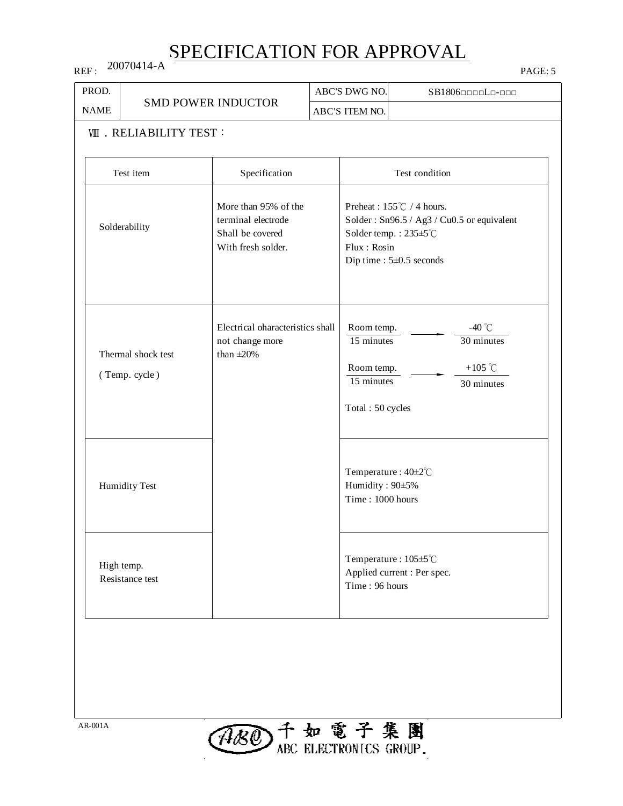REF : 20070414-A

| PROD.                         |                                     |                                                                                      | ABC'S DWG NO.                                                            | SB1806                                                                                                                                      |
|-------------------------------|-------------------------------------|--------------------------------------------------------------------------------------|--------------------------------------------------------------------------|---------------------------------------------------------------------------------------------------------------------------------------------|
| <b>NAME</b>                   |                                     | <b>SMD POWER INDUCTOR</b>                                                            | ABC'S ITEM NO.                                                           |                                                                                                                                             |
|                               | <b>WII</b> . RELIABILITY TEST:      |                                                                                      |                                                                          |                                                                                                                                             |
|                               | Test item                           | Specification                                                                        |                                                                          | Test condition                                                                                                                              |
|                               | Solderability                       | More than 95% of the<br>terminal electrode<br>Shall be covered<br>With fresh solder. | Flux: Rosin                                                              | Preheat : $155^{\circ}$ C / 4 hours.<br>Solder: Sn96.5 / Ag3 / Cu0.5 or equivalent<br>Solder temp.: 235±5°C<br>Dip time : $5\pm0.5$ seconds |
|                               | Thermal shock test<br>(Temp. cycle) | Electrical oharacteristics shall<br>not change more<br>than $\pm 20\%$               | Room temp.<br>15 minutes<br>Room temp.<br>15 minutes<br>Total: 50 cycles | -40 $\degree$ C<br>30 minutes<br>+105 $\degree$ C<br>30 minutes                                                                             |
|                               | <b>Humidity Test</b>                |                                                                                      | Humidity: 90±5%<br>Time: 1000 hours                                      | Temperature: 40±2°C                                                                                                                         |
| High temp.<br>Resistance test |                                     |                                                                                      | Time: 96 hours                                                           | Temperature: 105±5°C<br>Applied current : Per spec.                                                                                         |

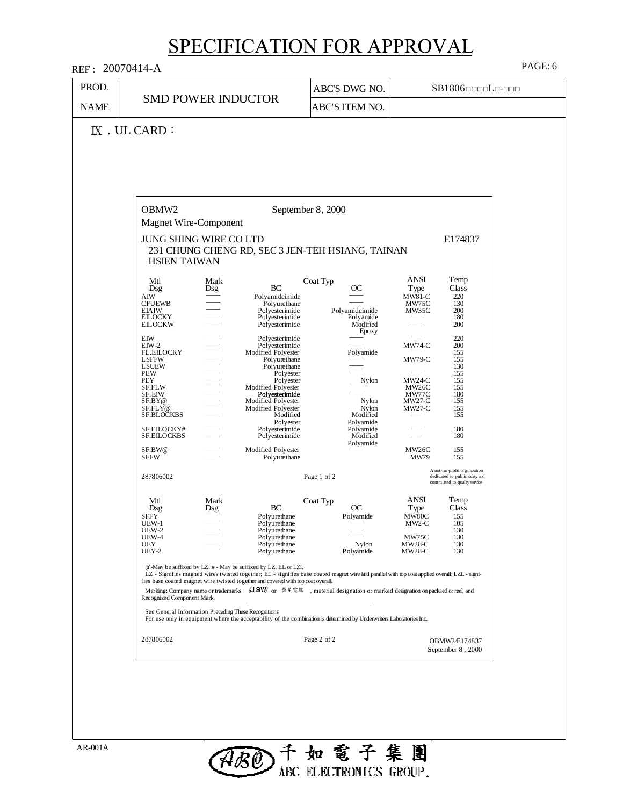| <b>NAME</b><br>$IX$ . UL CARD:<br>OBMW <sub>2</sub><br>Mtl<br>Dsg<br>${\rm AIW}$<br><b>CFUEWB</b><br><b>EIAIW</b><br><b>EILOCKY</b><br><b>EILOCKW</b><br>EIW<br>$EIW-2$<br><b>FL.EILOCKY</b><br>LSFFW<br><b>LSUEW</b><br>PEW<br>PEY<br>SF.FLW<br>SF.EIW<br>SF.BY@<br>SF.FLY@<br><b>SF.BLOCKBS</b><br>SF.EILOCKY#<br><b>SF.EILOCKBS</b><br>SF.BW@<br><b>SFFW</b><br>287806002<br>Mtl<br>Dsg | <b>SMD POWER INDUCTOR</b><br>Magnet Wire-Component<br>JUNG SHING WIRE CO LTD<br>231 CHUNG CHENG RD, SEC 3 JEN-TEH HSIANG, TAINAN<br><b>HSIEN TAIWAN</b><br>Mark<br><b>BC</b><br>Dsg<br>Polyamideimide<br>Polyurethane<br>Polyesterimide<br>Polyesterimide<br>Polyesterimide                                                                                                                                                                                                                                                                                                                                                                                                     | ABC'S ITEM NO.<br>September 8, 2000<br>Coat Typ<br>OС<br>Polyamideimide<br>Polyamide                                                                                                                    | E174837<br>ANSI<br>Temp<br>Type<br>Class<br>$M\overline{W8}1-C$<br>$\substack{220\\130}$<br>MW75C                                                                                                                                                 |
|--------------------------------------------------------------------------------------------------------------------------------------------------------------------------------------------------------------------------------------------------------------------------------------------------------------------------------------------------------------------------------------------|---------------------------------------------------------------------------------------------------------------------------------------------------------------------------------------------------------------------------------------------------------------------------------------------------------------------------------------------------------------------------------------------------------------------------------------------------------------------------------------------------------------------------------------------------------------------------------------------------------------------------------------------------------------------------------|---------------------------------------------------------------------------------------------------------------------------------------------------------------------------------------------------------|---------------------------------------------------------------------------------------------------------------------------------------------------------------------------------------------------------------------------------------------------|
|                                                                                                                                                                                                                                                                                                                                                                                            |                                                                                                                                                                                                                                                                                                                                                                                                                                                                                                                                                                                                                                                                                 |                                                                                                                                                                                                         |                                                                                                                                                                                                                                                   |
|                                                                                                                                                                                                                                                                                                                                                                                            |                                                                                                                                                                                                                                                                                                                                                                                                                                                                                                                                                                                                                                                                                 |                                                                                                                                                                                                         |                                                                                                                                                                                                                                                   |
|                                                                                                                                                                                                                                                                                                                                                                                            |                                                                                                                                                                                                                                                                                                                                                                                                                                                                                                                                                                                                                                                                                 |                                                                                                                                                                                                         |                                                                                                                                                                                                                                                   |
|                                                                                                                                                                                                                                                                                                                                                                                            | Polyesterimide<br>$\frac{1}{1}$<br>$\frac{1}{1}$<br>$\frac{1}{1}$ $\frac{1}{1}$ $\frac{1}{1}$ $\frac{1}{1}$ $\frac{1}{1}$ $\frac{1}{1}$ $\frac{1}{1}$ $\frac{1}{1}$ $\frac{1}{1}$ $\frac{1}{1}$ $\frac{1}{1}$ $\frac{1}{1}$ $\frac{1}{1}$ $\frac{1}{1}$ $\frac{1}{1}$ $\frac{1}{1}$ $\frac{1}{1}$ $\frac{1}{1}$ $\frac{1}{1}$ $\frac{1}{1}$ $\frac{1}{1}$ $\frac{1}{1}$ $\frac$<br>Polyesterimide<br>Modified Polyester<br>Polyurethane<br>Polyurethane<br>Polyester<br>Polyester<br>Modified Polyester<br>Polyesterimide<br>Modified Polyester<br>Modified Polyester<br>Modified<br>Polyester<br>Polyesterimide<br>Polyesterimide<br>Modified Polyester<br>Polyurethane        | Modified<br>Epoxy<br>Polyamide<br>Nylon<br>Nylon<br>Nylon<br>Modified<br>Polyamide<br>Polyamide<br>Modified<br>Polyamide                                                                                | MW35C<br>200<br>180<br>200<br>220<br>200<br>$MW74-C$<br>155<br>MW79-C<br>155<br>130<br>155<br>$MW24-C$<br>155<br>155<br>MW26C<br>MW77C<br>180<br>$MW27-C$<br>155<br>$MW27-C$<br>155<br>155<br>180<br>180<br>MW26C<br>155<br>MW79<br>155           |
| <b>SFFY</b><br>UEW-1<br>UEW-2<br>UEW-4<br>UEY<br>$UEY-2$<br>287806002                                                                                                                                                                                                                                                                                                                      | Mark<br>BC<br>Dsg<br>Polyurethane<br>Polyurethane<br>Polyurethane<br>Polyurethane<br>Polyurethane<br>Polyurethane<br>@-May be suffixed by LZ; # - May be suffixed by LZ, EL or LZI.<br>LZ - Signifies magned wires twisted together; EL - signifies base coated magnet wire laid parallel with top coat applied overall; LZL - signi-<br>fies base coated magnet wire twisted together and covered with top coat overall.<br>Marking: Company name or trademarks $\overline{JSW}$ or $\frac{2}{3}$ $\mathbb{Z}^{20}$ , material designation or marked designation on packaed or reel, and<br>Recognized Component Mark.<br>See General Information Preceding These Recognitions | Page 1 of 2<br>Coat Typ<br>ОC<br>Polyamide<br>Nylon<br>Polyamide<br>For use only in equipment where the acceptability of the combination is determined by Underwriters Laboratories Inc.<br>Page 2 of 2 | A not-for-profit organization<br>dedicated to public safety and<br>committed to quality service<br><b>ANSI</b><br>Temp<br>Type<br>Class<br>MW80C<br>155<br>MW2-C<br>105<br>130<br>MW75C<br>130<br>MW28-C<br>130<br>130<br>MW28-C<br>OBMW2/E174837 |